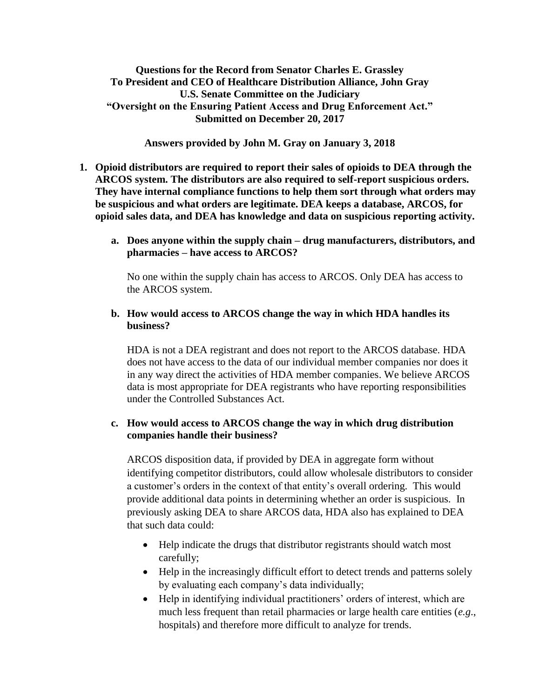**Questions for the Record from Senator Charles E. Grassley To President and CEO of Healthcare Distribution Alliance, John Gray U.S. Senate Committee on the Judiciary "Oversight on the Ensuring Patient Access and Drug Enforcement Act." Submitted on December 20, 2017**

**Answers provided by John M. Gray on January 3, 2018**

- **1. Opioid distributors are required to report their sales of opioids to DEA through the ARCOS system. The distributors are also required to self-report suspicious orders. They have internal compliance functions to help them sort through what orders may be suspicious and what orders are legitimate. DEA keeps a database, ARCOS, for opioid sales data, and DEA has knowledge and data on suspicious reporting activity.** 
	- **a. Does anyone within the supply chain – drug manufacturers, distributors, and pharmacies – have access to ARCOS?**

No one within the supply chain has access to ARCOS. Only DEA has access to the ARCOS system.

#### **b. How would access to ARCOS change the way in which HDA handles its business?**

HDA is not a DEA registrant and does not report to the ARCOS database. HDA does not have access to the data of our individual member companies nor does it in any way direct the activities of HDA member companies. We believe ARCOS data is most appropriate for DEA registrants who have reporting responsibilities under the Controlled Substances Act.

#### **c. How would access to ARCOS change the way in which drug distribution companies handle their business?**

ARCOS disposition data, if provided by DEA in aggregate form without identifying competitor distributors, could allow wholesale distributors to consider a customer's orders in the context of that entity's overall ordering. This would provide additional data points in determining whether an order is suspicious. In previously asking DEA to share ARCOS data, HDA also has explained to DEA that such data could:

- Help indicate the drugs that distributor registrants should watch most carefully;
- Help in the increasingly difficult effort to detect trends and patterns solely by evaluating each company's data individually;
- Help in identifying individual practitioners' orders of interest, which are much less frequent than retail pharmacies or large health care entities (*e.g*., hospitals) and therefore more difficult to analyze for trends.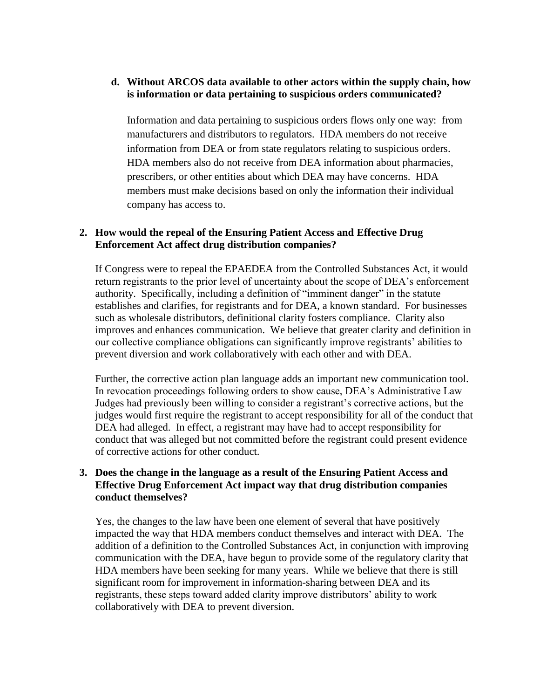#### **d. Without ARCOS data available to other actors within the supply chain, how is information or data pertaining to suspicious orders communicated?**

Information and data pertaining to suspicious orders flows only one way: from manufacturers and distributors to regulators. HDA members do not receive information from DEA or from state regulators relating to suspicious orders. HDA members also do not receive from DEA information about pharmacies, prescribers, or other entities about which DEA may have concerns. HDA members must make decisions based on only the information their individual company has access to.

#### **2. How would the repeal of the Ensuring Patient Access and Effective Drug Enforcement Act affect drug distribution companies?**

If Congress were to repeal the EPAEDEA from the Controlled Substances Act, it would return registrants to the prior level of uncertainty about the scope of DEA's enforcement authority. Specifically, including a definition of "imminent danger" in the statute establishes and clarifies, for registrants and for DEA, a known standard. For businesses such as wholesale distributors, definitional clarity fosters compliance. Clarity also improves and enhances communication. We believe that greater clarity and definition in our collective compliance obligations can significantly improve registrants' abilities to prevent diversion and work collaboratively with each other and with DEA.

Further, the corrective action plan language adds an important new communication tool. In revocation proceedings following orders to show cause, DEA's Administrative Law Judges had previously been willing to consider a registrant's corrective actions, but the judges would first require the registrant to accept responsibility for all of the conduct that DEA had alleged. In effect, a registrant may have had to accept responsibility for conduct that was alleged but not committed before the registrant could present evidence of corrective actions for other conduct.

#### **3. Does the change in the language as a result of the Ensuring Patient Access and Effective Drug Enforcement Act impact way that drug distribution companies conduct themselves?**

Yes, the changes to the law have been one element of several that have positively impacted the way that HDA members conduct themselves and interact with DEA. The addition of a definition to the Controlled Substances Act, in conjunction with improving communication with the DEA, have begun to provide some of the regulatory clarity that HDA members have been seeking for many years. While we believe that there is still significant room for improvement in information-sharing between DEA and its registrants, these steps toward added clarity improve distributors' ability to work collaboratively with DEA to prevent diversion.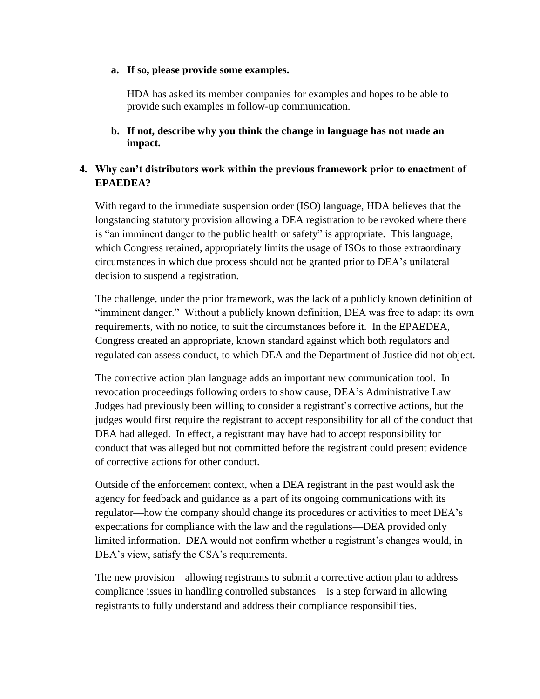#### **a. If so, please provide some examples.**

HDA has asked its member companies for examples and hopes to be able to provide such examples in follow-up communication.

**b. If not, describe why you think the change in language has not made an impact.**

### **4. Why can't distributors work within the previous framework prior to enactment of EPAEDEA?**

With regard to the immediate suspension order (ISO) language, HDA believes that the longstanding statutory provision allowing a DEA registration to be revoked where there is "an imminent danger to the public health or safety" is appropriate. This language, which Congress retained, appropriately limits the usage of ISOs to those extraordinary circumstances in which due process should not be granted prior to DEA's unilateral decision to suspend a registration.

The challenge, under the prior framework, was the lack of a publicly known definition of "imminent danger." Without a publicly known definition, DEA was free to adapt its own requirements, with no notice, to suit the circumstances before it. In the EPAEDEA, Congress created an appropriate, known standard against which both regulators and regulated can assess conduct, to which DEA and the Department of Justice did not object.

The corrective action plan language adds an important new communication tool. In revocation proceedings following orders to show cause, DEA's Administrative Law Judges had previously been willing to consider a registrant's corrective actions, but the judges would first require the registrant to accept responsibility for all of the conduct that DEA had alleged. In effect, a registrant may have had to accept responsibility for conduct that was alleged but not committed before the registrant could present evidence of corrective actions for other conduct.

Outside of the enforcement context, when a DEA registrant in the past would ask the agency for feedback and guidance as a part of its ongoing communications with its regulator—how the company should change its procedures or activities to meet DEA's expectations for compliance with the law and the regulations—DEA provided only limited information. DEA would not confirm whether a registrant's changes would, in DEA's view, satisfy the CSA's requirements.

The new provision—allowing registrants to submit a corrective action plan to address compliance issues in handling controlled substances—is a step forward in allowing registrants to fully understand and address their compliance responsibilities.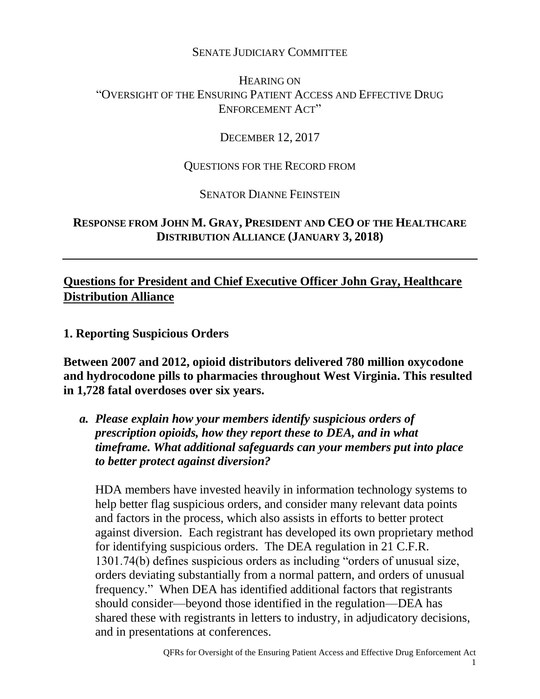## SENATE JUDICIARY COMMITTEE

# HEARING ON "OVERSIGHT OF THE ENSURING PATIENT ACCESS AND EFFECTIVE DRUG ENFORCEMENT ACT"

## DECEMBER 12, 2017

### QUESTIONS FOR THE RECORD FROM

SENATOR DIANNE FEINSTEIN

# **RESPONSE FROM JOHN M. GRAY, PRESIDENT AND CEO OF THE HEALTHCARE DISTRIBUTION ALLIANCE (JANUARY 3, 2018)**

# **Questions for President and Chief Executive Officer John Gray, Healthcare Distribution Alliance**

**1. Reporting Suspicious Orders**

**Between 2007 and 2012, opioid distributors delivered 780 million oxycodone and hydrocodone pills to pharmacies throughout West Virginia. This resulted in 1,728 fatal overdoses over six years.** 

*a. Please explain how your members identify suspicious orders of prescription opioids, how they report these to DEA, and in what timeframe. What additional safeguards can your members put into place to better protect against diversion?* 

HDA members have invested heavily in information technology systems to help better flag suspicious orders, and consider many relevant data points and factors in the process, which also assists in efforts to better protect against diversion. Each registrant has developed its own proprietary method for identifying suspicious orders. The DEA regulation in 21 C.F.R. 1301.74(b) defines suspicious orders as including "orders of unusual size, orders deviating substantially from a normal pattern, and orders of unusual frequency." When DEA has identified additional factors that registrants should consider—beyond those identified in the regulation—DEA has shared these with registrants in letters to industry, in adjudicatory decisions, and in presentations at conferences.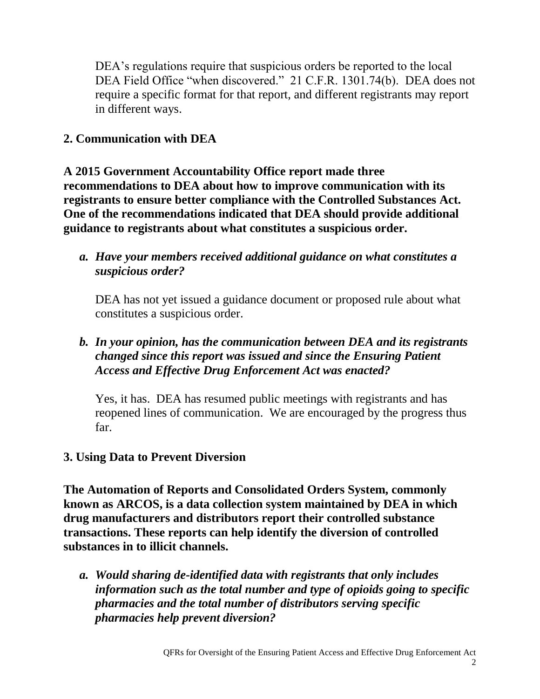DEA's regulations require that suspicious orders be reported to the local DEA Field Office "when discovered." 21 C.F.R. 1301.74(b). DEA does not require a specific format for that report, and different registrants may report in different ways.

# **2. Communication with DEA**

**A 2015 Government Accountability Office report made three recommendations to DEA about how to improve communication with its registrants to ensure better compliance with the Controlled Substances Act. One of the recommendations indicated that DEA should provide additional guidance to registrants about what constitutes a suspicious order.**

*a. Have your members received additional guidance on what constitutes a suspicious order?* 

DEA has not yet issued a guidance document or proposed rule about what constitutes a suspicious order.

# *b. In your opinion, has the communication between DEA and its registrants changed since this report was issued and since the Ensuring Patient Access and Effective Drug Enforcement Act was enacted?*

Yes, it has. DEA has resumed public meetings with registrants and has reopened lines of communication. We are encouraged by the progress thus far.

## **3. Using Data to Prevent Diversion**

**The Automation of Reports and Consolidated Orders System, commonly known as ARCOS, is a data collection system maintained by DEA in which drug manufacturers and distributors report their controlled substance transactions. These reports can help identify the diversion of controlled substances in to illicit channels.** 

*a. Would sharing de-identified data with registrants that only includes information such as the total number and type of opioids going to specific pharmacies and the total number of distributors serving specific pharmacies help prevent diversion?*